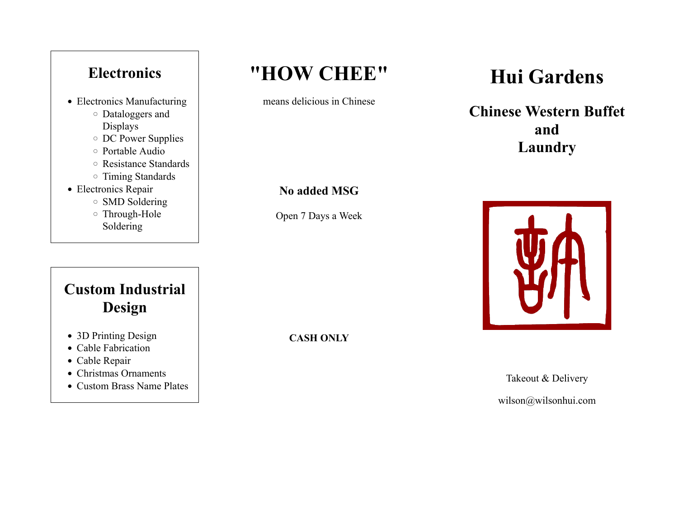### **Electronics**

- Electronics Manufacturing
	- Dataloggers and Displays
	- DC Power Supplies
	- Portable Audio
	- Resistance Standards
	- Timing Standards
- Electronics Repair
	- SMD Soldering
	- Through-Hole Soldering

### **Custom Industrial Design**

- 3D Printing Design
- Cable Fabrication
- Cable Repair
- Christmas Ornaments
- Custom Brass Name Plates

## **"HOW CHEE"**

means delicious in Chinese

#### **No added MSG**

Open 7 Days a Week

**CASH ONLY**

# **Hui Gardens**

**Chinese Western Buffet and Laundry**



Takeout & Delivery wilson@wilsonhui.com